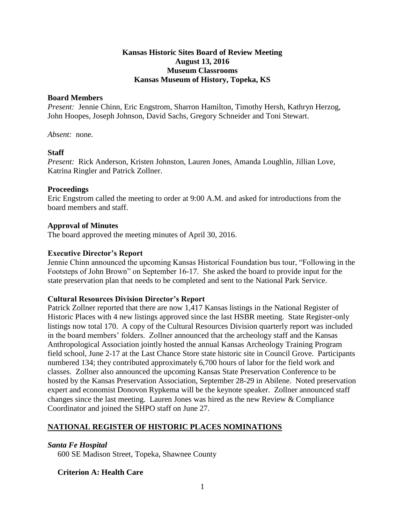# **Kansas Historic Sites Board of Review Meeting August 13, 2016 Museum Classrooms Kansas Museum of History, Topeka, KS**

# **Board Members**

*Present:* Jennie Chinn, Eric Engstrom, Sharron Hamilton, Timothy Hersh, Kathryn Herzog, John Hoopes, Joseph Johnson, David Sachs, Gregory Schneider and Toni Stewart.

*Absent:* none.

# **Staff**

*Present:* Rick Anderson, Kristen Johnston, Lauren Jones, Amanda Loughlin, Jillian Love, Katrina Ringler and Patrick Zollner.

# **Proceedings**

Eric Engstrom called the meeting to order at 9:00 A.M. and asked for introductions from the board members and staff.

# **Approval of Minutes**

The board approved the meeting minutes of April 30, 2016.

# **Executive Director's Report**

Jennie Chinn announced the upcoming Kansas Historical Foundation bus tour, "Following in the Footsteps of John Brown" on September 16-17. She asked the board to provide input for the state preservation plan that needs to be completed and sent to the National Park Service.

# **Cultural Resources Division Director's Report**

Patrick Zollner reported that there are now 1,417 Kansas listings in the National Register of Historic Places with 4 new listings approved since the last HSBR meeting. State Register-only listings now total 170. A copy of the Cultural Resources Division quarterly report was included in the board members' folders. Zollner announced that the archeology staff and the Kansas Anthropological Association jointly hosted the annual Kansas Archeology Training Program field school, June 2-17 at the Last Chance Store state historic site in Council Grove. Participants numbered 134; they contributed approximately 6,700 hours of labor for the field work and classes. Zollner also announced the upcoming Kansas State Preservation Conference to be hosted by the Kansas Preservation Association, September 28-29 in Abilene. Noted preservation expert and economist Donovon Rypkema will be the keynote speaker. Zollner announced staff changes since the last meeting. Lauren Jones was hired as the new Review & Compliance Coordinator and joined the SHPO staff on June 27.

# **NATIONAL REGISTER OF HISTORIC PLACES NOMINATIONS**

# *Santa Fe Hospital*

600 SE Madison Street, Topeka, Shawnee County

# **Criterion A: Health Care**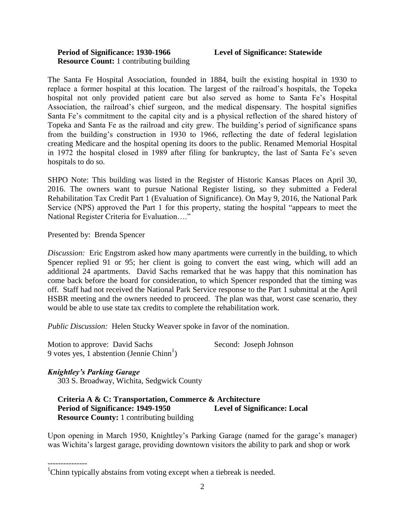# **Period of Significance: 1930-1966 Level of Significance: Statewide Resource Count:** 1 contributing building

The Santa Fe Hospital Association, founded in 1884, built the existing hospital in 1930 to replace a former hospital at this location. The largest of the railroad's hospitals, the Topeka hospital not only provided patient care but also served as home to Santa Fe's Hospital Association, the railroad's chief surgeon, and the medical dispensary. The hospital signifies Santa Fe's commitment to the capital city and is a physical reflection of the shared history of Topeka and Santa Fe as the railroad and city grew. The building's period of significance spans from the building's construction in 1930 to 1966, reflecting the date of federal legislation creating Medicare and the hospital opening its doors to the public. Renamed Memorial Hospital in 1972 the hospital closed in 1989 after filing for bankruptcy, the last of Santa Fe's seven hospitals to do so.

SHPO Note: This building was listed in the Register of Historic Kansas Places on April 30, 2016. The owners want to pursue National Register listing, so they submitted a Federal Rehabilitation Tax Credit Part 1 (Evaluation of Significance). On May 9, 2016, the National Park Service (NPS) approved the Part 1 for this property, stating the hospital "appears to meet the National Register Criteria for Evaluation…."

Presented by: Brenda Spencer

*Discussion:* Eric Engstrom asked how many apartments were currently in the building, to which Spencer replied 91 or 95; her client is going to convert the east wing, which will add an additional 24 apartments. David Sachs remarked that he was happy that this nomination has come back before the board for consideration, to which Spencer responded that the timing was off. Staff had not received the National Park Service response to the Part 1 submittal at the April HSBR meeting and the owners needed to proceed. The plan was that, worst case scenario, they would be able to use state tax credits to complete the rehabilitation work.

*Public Discussion:* Helen Stucky Weaver spoke in favor of the nomination.

Motion to approve: David Sachs Second: Joseph Johnson 9 votes yes,  $\overline{1}$  abstention (Jennie Chinn<sup>1</sup>)

# *Knightley's Parking Garage*

---------------

303 S. Broadway, Wichita, Sedgwick County

 **Criteria A & C: Transportation, Commerce & Architecture Period of Significance: 1949-1950 Level of Significance: Local Resource County:** 1 contributing building

Upon opening in March 1950, Knightley's Parking Garage (named for the garage's manager) was Wichita's largest garage, providing downtown visitors the ability to park and shop or work

<sup>&</sup>lt;sup>1</sup>Chinn typically abstains from voting except when a tiebreak is needed.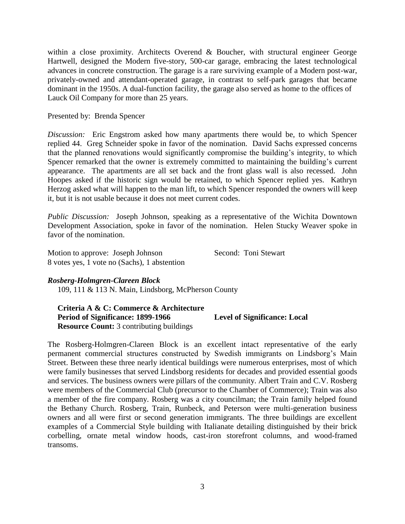within a close proximity. Architects Overend & Boucher, with structural engineer George Hartwell, designed the Modern five-story, 500-car garage, embracing the latest technological advances in concrete construction. The garage is a rare surviving example of a Modern post-war, privately-owned and attendant-operated garage, in contrast to self-park garages that became dominant in the 1950s. A dual-function facility, the garage also served as home to the offices of Lauck Oil Company for more than 25 years.

# Presented by: Brenda Spencer

*Discussion:* Eric Engstrom asked how many apartments there would be, to which Spencer replied 44. Greg Schneider spoke in favor of the nomination. David Sachs expressed concerns that the planned renovations would significantly compromise the building's integrity, to which Spencer remarked that the owner is extremely committed to maintaining the building's current appearance. The apartments are all set back and the front glass wall is also recessed. John Hoopes asked if the historic sign would be retained, to which Spencer replied yes. Kathryn Herzog asked what will happen to the man lift, to which Spencer responded the owners will keep it, but it is not usable because it does not meet current codes.

*Public Discussion:* Joseph Johnson, speaking as a representative of the Wichita Downtown Development Association, spoke in favor of the nomination. Helen Stucky Weaver spoke in favor of the nomination.

Motion to approve: Joseph Johnson Second: Toni Stewart 8 votes yes, 1 vote no (Sachs), 1 abstention

# *Rosberg-Holmgren-Clareen Block*

109, 111 & 113 N. Main, Lindsborg, McPherson County

 **Criteria A & C: Commerce & Architecture Period of Significance: 1899-1966 Level of Significance: Local Resource Count:** 3 contributing buildings

The Rosberg-Holmgren-Clareen Block is an excellent intact representative of the early permanent commercial structures constructed by Swedish immigrants on Lindsborg's Main Street. Between these three nearly identical buildings were numerous enterprises, most of which were family businesses that served Lindsborg residents for decades and provided essential goods and services. The business owners were pillars of the community. Albert Train and C.V. Rosberg were members of the Commercial Club (precursor to the Chamber of Commerce); Train was also a member of the fire company. Rosberg was a city councilman; the Train family helped found the Bethany Church. Rosberg, Train, Runbeck, and Peterson were multi-generation business owners and all were first or second generation immigrants. The three buildings are excellent examples of a Commercial Style building with Italianate detailing distinguished by their brick corbelling, ornate metal window hoods, cast-iron storefront columns, and wood-framed transoms.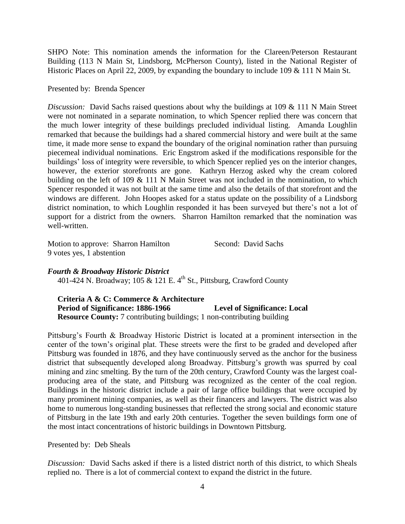SHPO Note: This nomination amends the information for the Clareen/Peterson Restaurant Building (113 N Main St, Lindsborg, McPherson County), listed in the National Register of Historic Places on April 22, 2009, by expanding the boundary to include 109 & 111 N Main St.

Presented by: Brenda Spencer

*Discussion:* David Sachs raised questions about why the buildings at 109 & 111 N Main Street were not nominated in a separate nomination, to which Spencer replied there was concern that the much lower integrity of these buildings precluded individual listing. Amanda Loughlin remarked that because the buildings had a shared commercial history and were built at the same time, it made more sense to expand the boundary of the original nomination rather than pursuing piecemeal individual nominations. Eric Engstrom asked if the modifications responsible for the buildings' loss of integrity were reversible, to which Spencer replied yes on the interior changes, however, the exterior storefronts are gone. Kathryn Herzog asked why the cream colored building on the left of 109 & 111 N Main Street was not included in the nomination, to which Spencer responded it was not built at the same time and also the details of that storefront and the windows are different. John Hoopes asked for a status update on the possibility of a Lindsborg district nomination, to which Loughlin responded it has been surveyed but there's not a lot of support for a district from the owners. Sharron Hamilton remarked that the nomination was well-written.

Motion to approve: Sharron Hamilton Second: David Sachs 9 votes yes, 1 abstention

# *Fourth & Broadway Historic District*

401-424 N. Broadway; 105 & 121 E.  $4^{\text{th}}$  St., Pittsburg, Crawford County

 **Criteria A & C: Commerce & Architecture Period of Significance: 1886-1966 Level of Significance: Local Resource County:** 7 contributing buildings; 1 non-contributing building

Pittsburg's Fourth & Broadway Historic District is located at a prominent intersection in the center of the town's original plat. These streets were the first to be graded and developed after Pittsburg was founded in 1876, and they have continuously served as the anchor for the business district that subsequently developed along Broadway. Pittsburg's growth was spurred by coal mining and zinc smelting. By the turn of the 20th century, Crawford County was the largest coalproducing area of the state, and Pittsburg was recognized as the center of the coal region. Buildings in the historic district include a pair of large office buildings that were occupied by many prominent mining companies, as well as their financers and lawyers. The district was also home to numerous long-standing businesses that reflected the strong social and economic stature of Pittsburg in the late 19th and early 20th centuries. Together the seven buildings form one of the most intact concentrations of historic buildings in Downtown Pittsburg.

Presented by: Deb Sheals

*Discussion:* David Sachs asked if there is a listed district north of this district, to which Sheals replied no. There is a lot of commercial context to expand the district in the future.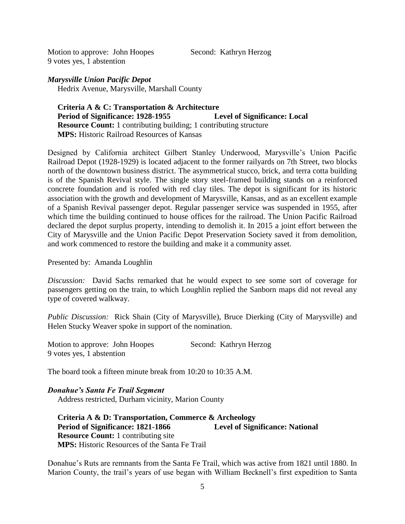Motion to approve: John Hoopes Second: Kathryn Herzog 9 votes yes, 1 abstention

*Marysville Union Pacific Depot* Hedrix Avenue, Marysville, Marshall County

# **Criteria A & C: Transportation & Architecture Period of Significance: 1928-1955 Level of Significance: Local Resource Count:** 1 contributing building; 1 contributing structure  **MPS:** Historic Railroad Resources of Kansas

Designed by California architect Gilbert Stanley Underwood, Marysville's Union Pacific Railroad Depot (1928-1929) is located adjacent to the former railyards on 7th Street, two blocks north of the downtown business district. The asymmetrical stucco, brick, and terra cotta building is of the Spanish Revival style. The single story steel-framed building stands on a reinforced concrete foundation and is roofed with red clay tiles. The depot is significant for its historic association with the growth and development of Marysville, Kansas, and as an excellent example of a Spanish Revival passenger depot. Regular passenger service was suspended in 1955, after which time the building continued to house offices for the railroad. The Union Pacific Railroad declared the depot surplus property, intending to demolish it. In 2015 a joint effort between the City of Marysville and the Union Pacific Depot Preservation Society saved it from demolition, and work commenced to restore the building and make it a community asset.

Presented by: Amanda Loughlin

*Discussion:* David Sachs remarked that he would expect to see some sort of coverage for passengers getting on the train, to which Loughlin replied the Sanborn maps did not reveal any type of covered walkway.

*Public Discussion:* Rick Shain (City of Marysville), Bruce Dierking (City of Marysville) and Helen Stucky Weaver spoke in support of the nomination.

| Motion to approve: John Hoopes | Second: Kathryn Herzog |
|--------------------------------|------------------------|
| 9 votes yes, 1 abstention      |                        |

The board took a fifteen minute break from 10:20 to 10:35 A.M.

*Donahue's Santa Fe Trail Segment* Address restricted, Durham vicinity, Marion County

 **Criteria A & D: Transportation, Commerce & Archeology Period of Significance: 1821-1866 Level of Significance: National Resource Count:** 1 contributing site  **MPS:** Historic Resources of the Santa Fe Trail

Donahue's Ruts are remnants from the Santa Fe Trail, which was active from 1821 until 1880. In Marion County, the trail's years of use began with William Becknell's first expedition to Santa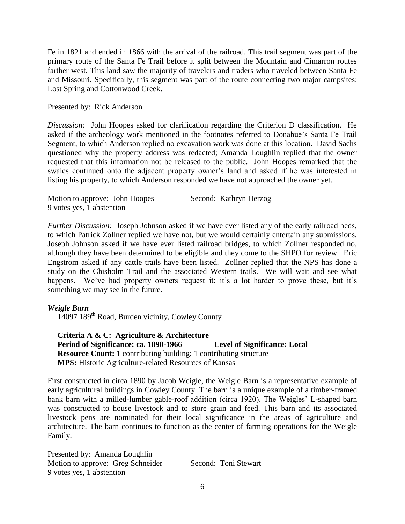Fe in 1821 and ended in 1866 with the arrival of the railroad. This trail segment was part of the primary route of the Santa Fe Trail before it split between the Mountain and Cimarron routes farther west. This land saw the majority of travelers and traders who traveled between Santa Fe and Missouri. Specifically, this segment was part of the route connecting two major campsites: Lost Spring and Cottonwood Creek.

## Presented by: Rick Anderson

*Discussion:* John Hoopes asked for clarification regarding the Criterion D classification. He asked if the archeology work mentioned in the footnotes referred to Donahue's Santa Fe Trail Segment, to which Anderson replied no excavation work was done at this location. David Sachs questioned why the property address was redacted; Amanda Loughlin replied that the owner requested that this information not be released to the public. John Hoopes remarked that the swales continued onto the adjacent property owner's land and asked if he was interested in listing his property, to which Anderson responded we have not approached the owner yet.

| Motion to approve: John Hoopes | Second: Kathryn Herzog |
|--------------------------------|------------------------|
| 9 votes yes, 1 abstention      |                        |

*Further Discussion:* Joseph Johnson asked if we have ever listed any of the early railroad beds, to which Patrick Zollner replied we have not, but we would certainly entertain any submissions. Joseph Johnson asked if we have ever listed railroad bridges, to which Zollner responded no, although they have been determined to be eligible and they come to the SHPO for review. Eric Engstrom asked if any cattle trails have been listed. Zollner replied that the NPS has done a study on the Chisholm Trail and the associated Western trails. We will wait and see what happens. We've had property owners request it; it's a lot harder to prove these, but it's something we may see in the future.

## *Weigle Barn*

14097 189th Road, Burden vicinity, Cowley County

 **Criteria A & C: Agriculture & Architecture Period of Significance: ca. 1890-1966 Level of Significance: Local Resource Count:** 1 contributing building; 1 contributing structure  **MPS:** Historic Agriculture-related Resources of Kansas

First constructed in circa 1890 by Jacob Weigle, the Weigle Barn is a representative example of early agricultural buildings in Cowley County. The barn is a unique example of a timber-framed bank barn with a milled-lumber gable-roof addition (circa 1920). The Weigles' L-shaped barn was constructed to house livestock and to store grain and feed. This barn and its associated livestock pens are nominated for their local significance in the areas of agriculture and architecture. The barn continues to function as the center of farming operations for the Weigle Family.

Presented by: Amanda Loughlin Motion to approve: Greg Schneider Second: Toni Stewart 9 votes yes, 1 abstention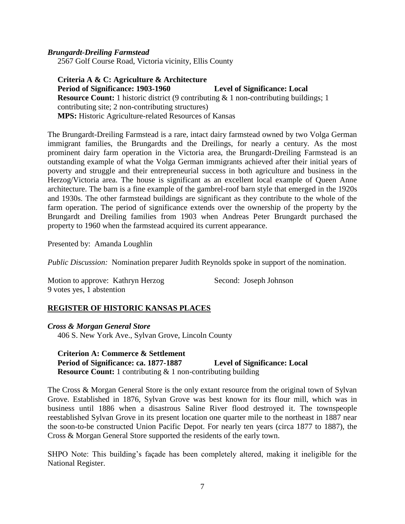### *Brungardt-Dreiling Farmstead*

2567 Golf Course Road, Victoria vicinity, Ellis County

 **Criteria A & C: Agriculture & Architecture Period of Significance: 1903-1960 Level of Significance: Local Resource Count:** 1 historic district (9 contributing & 1 non-contributing buildings; 1 contributing site; 2 non-contributing structures)  **MPS:** Historic Agriculture-related Resources of Kansas

The Brungardt-Dreiling Farmstead is a rare, intact dairy farmstead owned by two Volga German immigrant families, the Brungardts and the Dreilings, for nearly a century. As the most prominent dairy farm operation in the Victoria area, the Brungardt-Dreiling Farmstead is an outstanding example of what the Volga German immigrants achieved after their initial years of poverty and struggle and their entrepreneurial success in both agriculture and business in the Herzog/Victoria area. The house is significant as an excellent local example of Queen Anne architecture. The barn is a fine example of the gambrel-roof barn style that emerged in the 1920s and 1930s. The other farmstead buildings are significant as they contribute to the whole of the farm operation. The period of significance extends over the ownership of the property by the Brungardt and Dreiling families from 1903 when Andreas Peter Brungardt purchased the property to 1960 when the farmstead acquired its current appearance.

Presented by: Amanda Loughlin

*Public Discussion:* Nomination preparer Judith Reynolds spoke in support of the nomination.

Motion to approve: Kathryn Herzog Second: Joseph Johnson 9 votes yes, 1 abstention

## **REGISTER OF HISTORIC KANSAS PLACES**

*Cross & Morgan General Store* 406 S. New York Ave., Sylvan Grove, Lincoln County

 **Criterion A: Commerce & Settlement Period of Significance: ca. 1877-1887 Level of Significance: Local Resource Count:** 1 contributing & 1 non-contributing building

The Cross & Morgan General Store is the only extant resource from the original town of Sylvan Grove. Established in 1876, Sylvan Grove was best known for its flour mill, which was in business until 1886 when a disastrous Saline River flood destroyed it. The townspeople reestablished Sylvan Grove in its present location one quarter mile to the northeast in 1887 near the soon-to-be constructed Union Pacific Depot. For nearly ten years (circa 1877 to 1887), the Cross & Morgan General Store supported the residents of the early town.

SHPO Note: This building's façade has been completely altered, making it ineligible for the National Register.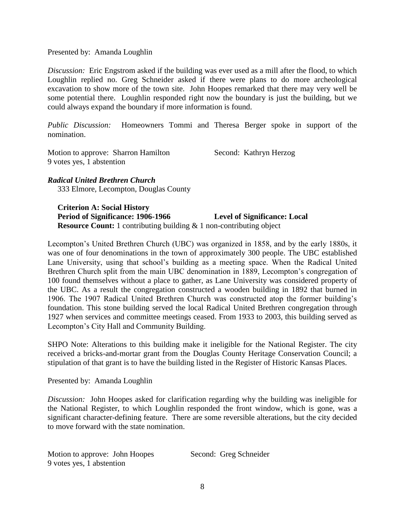### Presented by: Amanda Loughlin

*Discussion:* Eric Engstrom asked if the building was ever used as a mill after the flood, to which Loughlin replied no. Greg Schneider asked if there were plans to do more archeological excavation to show more of the town site. John Hoopes remarked that there may very well be some potential there. Loughlin responded right now the boundary is just the building, but we could always expand the boundary if more information is found.

*Public Discussion:* Homeowners Tommi and Theresa Berger spoke in support of the nomination.

Motion to approve: Sharron Hamilton Second: Kathryn Herzog 9 votes yes, 1 abstention

# *Radical United Brethren Church*

333 Elmore, Lecompton, Douglas County

 **Criterion A: Social History Period of Significance: 1906-1966 Level of Significance: Local Resource Count:** 1 contributing building & 1 non-contributing object

Lecompton's United Brethren Church (UBC) was organized in 1858, and by the early 1880s, it was one of four denominations in the town of approximately 300 people. The UBC established Lane University, using that school's building as a meeting space. When the Radical United Brethren Church split from the main UBC denomination in 1889, Lecompton's congregation of 100 found themselves without a place to gather, as Lane University was considered property of the UBC. As a result the congregation constructed a wooden building in 1892 that burned in 1906. The 1907 Radical United Brethren Church was constructed atop the former building's foundation. This stone building served the local Radical United Brethren congregation through 1927 when services and committee meetings ceased. From 1933 to 2003, this building served as Lecompton's City Hall and Community Building.

SHPO Note: Alterations to this building make it ineligible for the National Register. The city received a bricks-and-mortar grant from the Douglas County Heritage Conservation Council; a stipulation of that grant is to have the building listed in the Register of Historic Kansas Places.

Presented by: Amanda Loughlin

*Discussion:* John Hoopes asked for clarification regarding why the building was ineligible for the National Register, to which Loughlin responded the front window, which is gone, was a significant character-defining feature. There are some reversible alterations, but the city decided to move forward with the state nomination.

Motion to approve: John Hoopes Second: Greg Schneider 9 votes yes, 1 abstention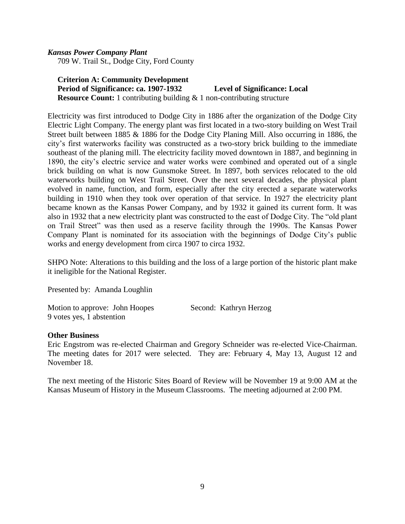# *Kansas Power Company Plant*

709 W. Trail St., Dodge City, Ford County

# **Criterion A: Community Development Period of Significance: ca. 1907-1932 Level of Significance: Local Resource Count:** 1 contributing building  $\&$  1 non-contributing structure

Electricity was first introduced to Dodge City in 1886 after the organization of the Dodge City Electric Light Company. The energy plant was first located in a two-story building on West Trail Street built between 1885 & 1886 for the Dodge City Planing Mill. Also occurring in 1886, the city's first waterworks facility was constructed as a two-story brick building to the immediate southeast of the planing mill. The electricity facility moved downtown in 1887, and beginning in 1890, the city's electric service and water works were combined and operated out of a single brick building on what is now Gunsmoke Street. In 1897, both services relocated to the old waterworks building on West Trail Street. Over the next several decades, the physical plant evolved in name, function, and form, especially after the city erected a separate waterworks building in 1910 when they took over operation of that service. In 1927 the electricity plant became known as the Kansas Power Company, and by 1932 it gained its current form. It was also in 1932 that a new electricity plant was constructed to the east of Dodge City. The "old plant on Trail Street" was then used as a reserve facility through the 1990s. The Kansas Power Company Plant is nominated for its association with the beginnings of Dodge City's public works and energy development from circa 1907 to circa 1932.

SHPO Note: Alterations to this building and the loss of a large portion of the historic plant make it ineligible for the National Register.

Presented by: Amanda Loughlin

Motion to approve: John Hoopes Second: Kathryn Herzog 9 votes yes, 1 abstention

## **Other Business**

Eric Engstrom was re-elected Chairman and Gregory Schneider was re-elected Vice-Chairman. The meeting dates for 2017 were selected. They are: February 4, May 13, August 12 and November 18.

The next meeting of the Historic Sites Board of Review will be November 19 at 9:00 AM at the Kansas Museum of History in the Museum Classrooms. The meeting adjourned at 2:00 PM.